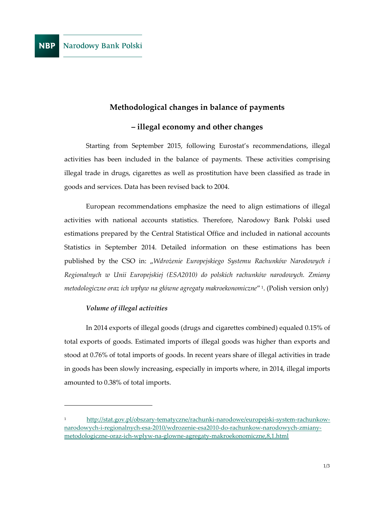# **Methodological changes in balance of payments**

# **– illegal economy and other changes**

Starting from September 2015, following Eurostat's recommendations, illegal activities has been included in the balance of payments. These activities comprising illegal trade in drugs, cigarettes as well as prostitution have been classified as trade in goods and services. Data has been revised back to 2004.

European recommendations emphasize the need to align estimations of illegal activities with national accounts statistics. Therefore, Narodowy Bank Polski used estimations prepared by the Central Statistical Office and included in national accounts Statistics in September 2014. Detailed information on these estimations has been published by the CSO in: "*Wdrożenie Europejskiego Systemu Rachunków Narodowych i Regionalnych w Unii Europejskiej (ESA2010) do polskich rachunków narodowych. Zmiany metodologiczne oraz ich wpływ na główne agregaty makroekonomiczne*" 1 . (Polish version only)

## *Volume of illegal activities*

 $\overline{a}$ 

In 2014 exports of illegal goods (drugs and cigarettes combined) equaled 0.15% of total exports of goods. Estimated imports of illegal goods was higher than exports and stood at 0.76% of total imports of goods. In recent years share of illegal activities in trade in goods has been slowly increasing, especially in imports where, in 2014, illegal imports amounted to 0.38% of total imports.

<sup>1</sup> [http://stat.gov.pl/obszary-tematyczne/rachunki-narodowe/europejski-system-rachunkow](http://stat.gov.pl/obszary-tematyczne/rachunki-narodowe/europejski-system-rachunkow-narodowych-i-regionalnych-esa-2010/wdrozenie-esa2010-do-rachunkow-narodowych-zmiany-metodologiczne-oraz-ich-wplyw-na-glowne-agregaty-makroekonomiczne,8,1.html)[narodowych-i-regionalnych-esa-2010/wdrozenie-esa2010-do-rachunkow-narodowych-zmiany](http://stat.gov.pl/obszary-tematyczne/rachunki-narodowe/europejski-system-rachunkow-narodowych-i-regionalnych-esa-2010/wdrozenie-esa2010-do-rachunkow-narodowych-zmiany-metodologiczne-oraz-ich-wplyw-na-glowne-agregaty-makroekonomiczne,8,1.html)[metodologiczne-oraz-ich-wplyw-na-glowne-agregaty-makroekonomiczne,8,1.html](http://stat.gov.pl/obszary-tematyczne/rachunki-narodowe/europejski-system-rachunkow-narodowych-i-regionalnych-esa-2010/wdrozenie-esa2010-do-rachunkow-narodowych-zmiany-metodologiczne-oraz-ich-wplyw-na-glowne-agregaty-makroekonomiczne,8,1.html)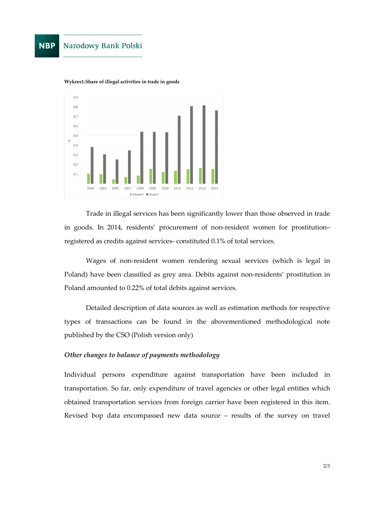#### **NBP** Narodowy Bank Polski



**Wykres1.Share of illegal activities in trade in goods**

Trade in illegal services has been significantly lower than those observed in trade in goods. In 2014, residents' procurement of non-resident women for prostitution– registered as credits against services- constituted 0.1% of total services.

Wages of non-resident women rendering sexual services (which is legal in Poland) have been classified as grey area. Debits against non-residents' prostitution in Poland amounted to 0.22% of total debits against services.

Detailed description of data sources as well as estimation methods for respective types of transactions can be found in the abovementioned methodological note published by the CSO (Polish version only)

### *Other changes to balance of payments methodology*

Individual persons expenditure against transportation have been included in transportation. So far, only expenditure of travel agencies or other legal entities which obtained transportation services from foreign carrier have been registered in this item. Revised bop data encompassed new data source – results of the survey on travel